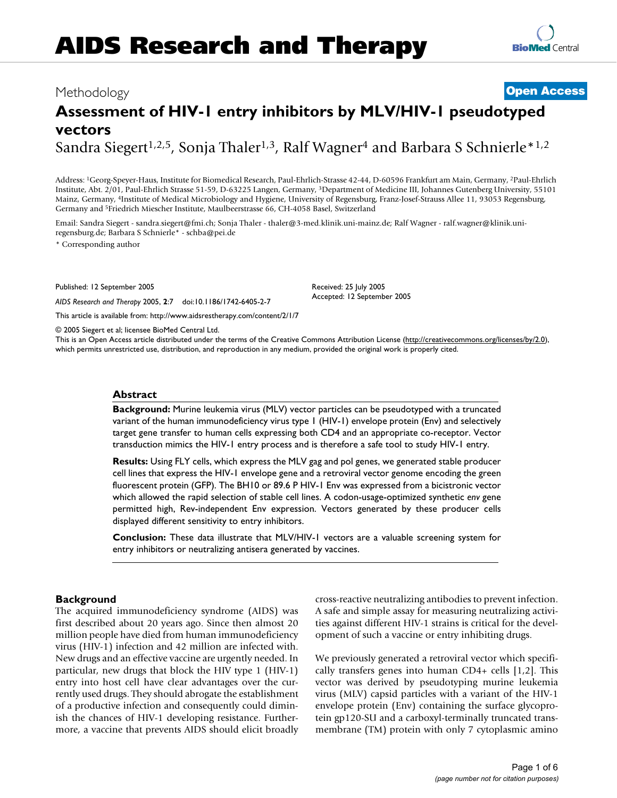# **Assessment of HIV-1 entry inhibitors by MLV/HIV-1 pseudotyped vectors**

Sandra Siegert<sup>1,2,5</sup>, Sonja Thaler<sup>1,3</sup>, Ralf Wagner<sup>4</sup> and Barbara S Schnierle<sup>\*1,2</sup>

Address: 1Georg-Speyer-Haus, Institute for Biomedical Research, Paul-Ehrlich-Strasse 42-44, D-60596 Frankfurt am Main, Germany, 2Paul-Ehrlich Institute, Abt. 2/01, Paul-Ehrlich Strasse 51-59, D-63225 Langen, Germany, 3Department of Medicine III, Johannes Gutenberg University, 55101 Mainz, Germany, 4Institute of Medical Microbiology and Hygiene, University of Regensburg, Franz-Josef-Strauss Allee 11, 93053 Regensburg, Germany and 5Friedrich Miescher Institute, Maulbeerstrasse 66, CH-4058 Basel, Switzerland

Email: Sandra Siegert - sandra.siegert@fmi.ch; Sonja Thaler - thaler@3-med.klinik.uni-mainz.de; Ralf Wagner - ralf.wagner@klinik.uniregensburg.de; Barbara S Schnierle\* - schba@pei.de

\* Corresponding author

Published: 12 September 2005

*AIDS Research and Therapy* 2005, **2**:7 doi:10.1186/1742-6405-2-7

[This article is available from: http://www.aidsrestherapy.com/content/2/1/7](http://www.aidsrestherapy.com/content/2/1/7)

© 2005 Siegert et al; licensee BioMed Central Ltd.

This is an Open Access article distributed under the terms of the Creative Commons Attribution License [\(http://creativecommons.org/licenses/by/2.0\)](http://creativecommons.org/licenses/by/2.0), which permits unrestricted use, distribution, and reproduction in any medium, provided the original work is properly cited.

Received: 25 July 2005 Accepted: 12 September 2005

## **Abstract**

**Background:** Murine leukemia virus (MLV) vector particles can be pseudotyped with a truncated variant of the human immunodeficiency virus type 1 (HIV-1) envelope protein (Env) and selectively target gene transfer to human cells expressing both CD4 and an appropriate co-receptor. Vector transduction mimics the HIV-1 entry process and is therefore a safe tool to study HIV-1 entry.

**Results:** Using FLY cells, which express the MLV gag and pol genes, we generated stable producer cell lines that express the HIV-1 envelope gene and a retroviral vector genome encoding the green fluorescent protein (GFP). The BH10 or 89.6 P HIV-1 Env was expressed from a bicistronic vector which allowed the rapid selection of stable cell lines. A codon-usage-optimized synthetic *env* gene permitted high, Rev-independent Env expression. Vectors generated by these producer cells displayed different sensitivity to entry inhibitors.

**Conclusion:** These data illustrate that MLV/HIV-1 vectors are a valuable screening system for entry inhibitors or neutralizing antisera generated by vaccines.

## **Background**

The acquired immunodeficiency syndrome (AIDS) was first described about 20 years ago. Since then almost 20 million people have died from human immunodeficiency virus (HIV-1) infection and 42 million are infected with. New drugs and an effective vaccine are urgently needed. In particular, new drugs that block the HIV type 1 (HIV-1) entry into host cell have clear advantages over the currently used drugs. They should abrogate the establishment of a productive infection and consequently could diminish the chances of HIV-1 developing resistance. Furthermore, a vaccine that prevents AIDS should elicit broadly cross-reactive neutralizing antibodies to prevent infection. A safe and simple assay for measuring neutralizing activities against different HIV-1 strains is critical for the development of such a vaccine or entry inhibiting drugs.

We previously generated a retroviral vector which specifically transfers genes into human CD4+ cells [1,2]. This vector was derived by pseudotyping murine leukemia virus (MLV) capsid particles with a variant of the HIV-1 envelope protein (Env) containing the surface glycoprotein gp120-SU and a carboxyl-terminally truncated transmembrane (TM) protein with only 7 cytoplasmic amino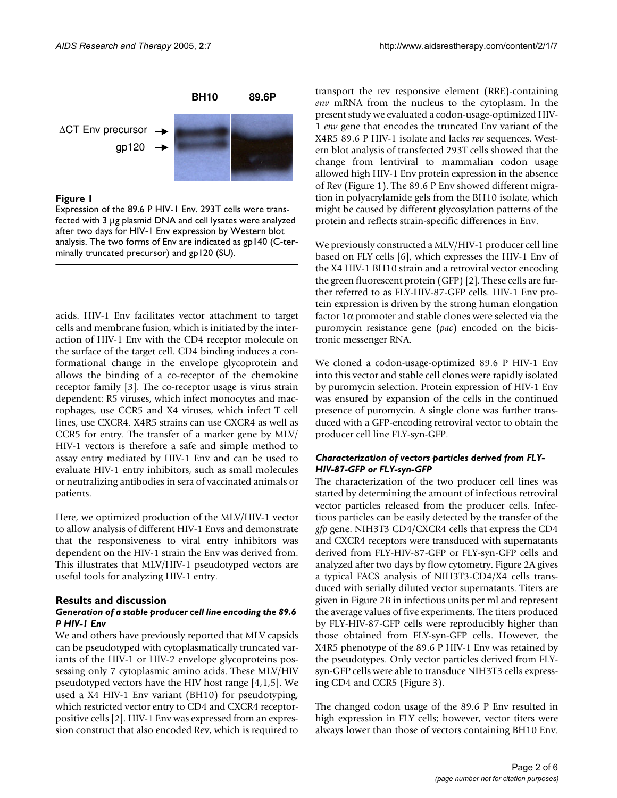

Expression of the 89.6 P HIV-1 Env. 293T cells were transfected with 3 µg plasmid DNA and cell lysates were analyzed after two days for HIV-1 Env expression by Western blot analysis. The two forms of Env are indicated as gp140 (C-terminally truncated precursor) and gp120 (SU).

acids. HIV-1 Env facilitates vector attachment to target cells and membrane fusion, which is initiated by the interaction of HIV-1 Env with the CD4 receptor molecule on the surface of the target cell. CD4 binding induces a conformational change in the envelope glycoprotein and allows the binding of a co-receptor of the chemokine receptor family [3]. The co-receptor usage is virus strain dependent: R5 viruses, which infect monocytes and macrophages, use CCR5 and X4 viruses, which infect T cell lines, use CXCR4. X4R5 strains can use CXCR4 as well as CCR5 for entry. The transfer of a marker gene by MLV/ HIV-1 vectors is therefore a safe and simple method to assay entry mediated by HIV-1 Env and can be used to evaluate HIV-1 entry inhibitors, such as small molecules or neutralizing antibodies in sera of vaccinated animals or patients.

Here, we optimized production of the MLV/HIV-1 vector to allow analysis of different HIV-1 Envs and demonstrate that the responsiveness to viral entry inhibitors was dependent on the HIV-1 strain the Env was derived from. This illustrates that MLV/HIV-1 pseudotyped vectors are useful tools for analyzing HIV-1 entry.

### **Results and discussion**

## *Generation of a stable producer cell line encoding the 89.6 P HIV-1 Env*

We and others have previously reported that MLV capsids can be pseudotyped with cytoplasmatically truncated variants of the HIV-1 or HIV-2 envelope glycoproteins possessing only 7 cytoplasmic amino acids. These MLV/HIV pseudotyped vectors have the HIV host range [4,1,5]. We used a X4 HIV-1 Env variant (BH10) for pseudotyping, which restricted vector entry to CD4 and CXCR4 receptorpositive cells [2]. HIV-1 Env was expressed from an expression construct that also encoded Rev, which is required to transport the rev responsive element (RRE)-containing *env* mRNA from the nucleus to the cytoplasm. In the present study we evaluated a codon-usage-optimized HIV-1 *env* gene that encodes the truncated Env variant of the X4R5 89.6 P HIV-1 isolate and lacks *rev* sequences. Western blot analysis of transfected 293T cells showed that the change from lentiviral to mammalian codon usage allowed high HIV-1 Env protein expression in the absence of Rev (Figure 1). The 89.6 P Env showed different migration in polyacrylamide gels from the BH10 isolate, which might be caused by different glycosylation patterns of the protein and reflects strain-specific differences in Env.

We previously constructed a MLV/HIV-1 producer cell line based on FLY cells [6], which expresses the HIV-1 Env of the X4 HIV-1 BH10 strain and a retroviral vector encoding the green fluorescent protein (GFP) [2]. These cells are further referred to as FLY-HIV-87-GFP cells. HIV-1 Env protein expression is driven by the strong human elongation factor  $1\alpha$  promoter and stable clones were selected via the puromycin resistance gene (*pac*) encoded on the bicistronic messenger RNA.

We cloned a codon-usage-optimized 89.6 P HIV-1 Env into this vector and stable cell clones were rapidly isolated by puromycin selection. Protein expression of HIV-1 Env was ensured by expansion of the cells in the continued presence of puromycin. A single clone was further transduced with a GFP-encoding retroviral vector to obtain the producer cell line FLY-syn-GFP.

## *Characterization of vectors particles derived from FLY-HIV-87-GFP or FLY-syn-GFP*

The characterization of the two producer cell lines was started by determining the amount of infectious retroviral vector particles released from the producer cells. Infectious particles can be easily detected by the transfer of the *gfp* gene. NIH3T3 CD4/CXCR4 cells that express the CD4 and CXCR4 receptors were transduced with supernatants derived from FLY-HIV-87-GFP or FLY-syn-GFP cells and analyzed after two days by flow cytometry. Figure [2](#page-2-0)A gives a typical FACS analysis of NIH3T3-CD4/X4 cells transduced with serially diluted vector supernatants. Titers are given in Figure [2](#page-2-0)B in infectious units per ml and represent the average values of five experiments. The titers produced by FLY-HIV-87-GFP cells were reproducibly higher than those obtained from FLY-syn-GFP cells. However, the X4R5 phenotype of the 89.6 P HIV-1 Env was retained by the pseudotypes. Only vector particles derived from FLYsyn-GFP cells were able to transduce NIH3T3 cells expressing CD4 and CCR5 (Figure [3\)](#page-3-0).

The changed codon usage of the 89.6 P Env resulted in high expression in FLY cells; however, vector titers were always lower than those of vectors containing BH10 Env.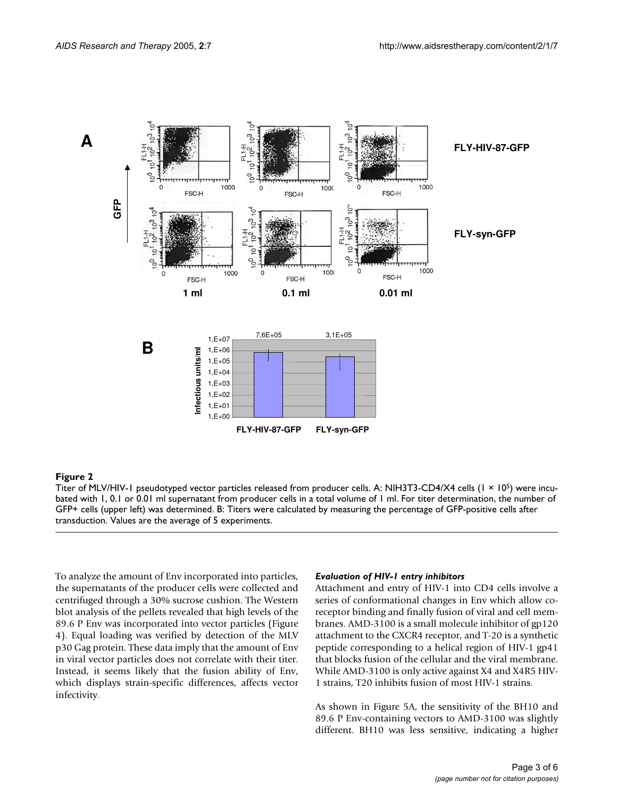<span id="page-2-0"></span>

Titer of MLV/HIV-1 pseudotyped vector particles released from producer cells. A: NIH3T3-CD4/X4 cells (1 × 105) were incubated with 1, 0.1 or 0.01 ml supernatant from producer cells in a total volume of 1 ml. For titer determination, the number of GFP+ cells (upper left) was determined. B: Titers were calculated by measuring the percentage of GFP-positive cells after transduction. Values are the average of 5 experiments.

To analyze the amount of Env incorporated into particles, the supernatants of the producer cells were collected and centrifuged through a 30% sucrose cushion. The Western blot analysis of the pellets revealed that high levels of the 89.6 P Env was incorporated into vector particles (Figure 4). Equal loading was verified by detection of the MLV p30 Gag protein. These data imply that the amount of Env in viral vector particles does not correlate with their titer. Instead, it seems likely that the fusion ability of Env, which displays strain-specific differences, affects vector infectivity.

## *Evaluation of HIV-1 entry inhibitors*

Attachment and entry of HIV-1 into CD4 cells involve a series of conformational changes in Env which allow coreceptor binding and finally fusion of viral and cell membranes. AMD-3100 is a small molecule inhibitor of gp120 attachment to the CXCR4 receptor, and T-20 is a synthetic peptide corresponding to a helical region of HIV-1 gp41 that blocks fusion of the cellular and the viral membrane. While AMD-3100 is only active against X4 and X4R5 HIV-1 strains, T20 inhibits fusion of most HIV-1 strains.

As shown in Figure 5A, the sensitivity of the BH10 and 89.6 P Env-containing vectors to AMD-3100 was slightly different. BH10 was less sensitive, indicating a higher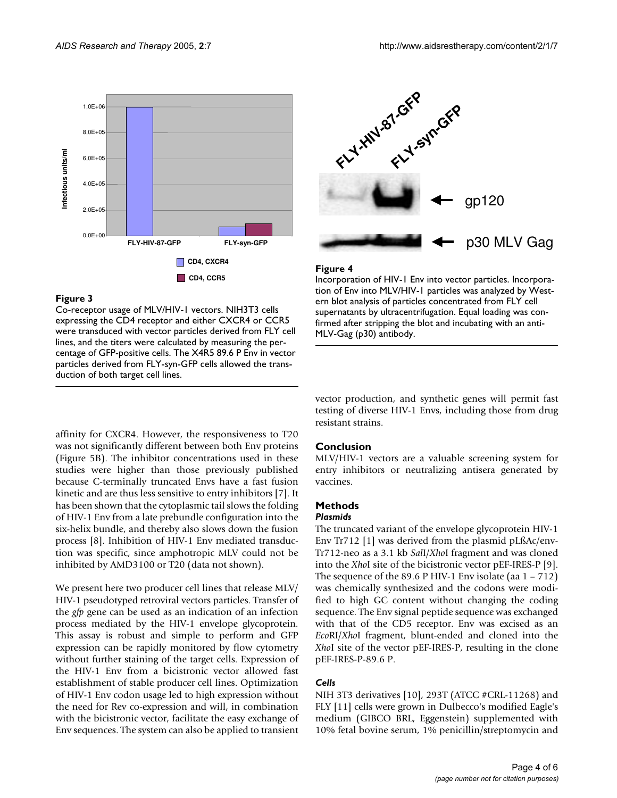<span id="page-3-0"></span>

Co-receptor usage of MLV/HIV-1 vectors. NIH3T3 cells expressing the CD4 receptor and either CXCR4 or CCR5 were transduced with vector particles derived from FLY cell lines, and the titers were calculated by measuring the percentage of GFP-positive cells. The X4R5 89.6 P Env in vector particles derived from FLY-syn-GFP cells allowed the transduction of both target cell lines.

affinity for CXCR4. However, the responsiveness to T20 was not significantly different between both Env proteins (Figure 5B). The inhibitor concentrations used in these studies were higher than those previously published because C-terminally truncated Envs have a fast fusion kinetic and are thus less sensitive to entry inhibitors [7]. It has been shown that the cytoplasmic tail slows the folding of HIV-1 Env from a late prebundle configuration into the six-helix bundle, and thereby also slows down the fusion process [8]. Inhibition of HIV-1 Env mediated transduction was specific, since amphotropic MLV could not be inhibited by AMD3100 or T20 (data not shown).

We present here two producer cell lines that release MLV/ HIV-1 pseudotyped retroviral vectors particles. Transfer of the *gfp* gene can be used as an indication of an infection process mediated by the HIV-1 envelope glycoprotein. This assay is robust and simple to perform and GFP expression can be rapidly monitored by flow cytometry without further staining of the target cells. Expression of the HIV-1 Env from a bicistronic vector allowed fast establishment of stable producer cell lines. Optimization of HIV-1 Env codon usage led to high expression without the need for Rev co-expression and will, in combination with the bicistronic vector, facilitate the easy exchange of Env sequences. The system can also be applied to transient



# **Figure 4**

Incorporation of HIV-1 Env into vector particles. Incorporation of Env into MLV/HIV-1 particles was analyzed by Western blot analysis of particles concentrated from FLY cell supernatants by ultracentrifugation. Equal loading was confirmed after stripping the blot and incubating with an anti-MLV-Gag (p30) antibody.

vector production, and synthetic genes will permit fast testing of diverse HIV-1 Envs, including those from drug resistant strains.

# **Conclusion**

MLV/HIV-1 vectors are a valuable screening system for entry inhibitors or neutralizing antisera generated by vaccines.

# **Methods**

# *Plasmids*

The truncated variant of the envelope glycoprotein HIV-1 Env Tr712 [1] was derived from the plasmid pLßAc/env-Tr712-neo as a 3.1 kb *Sal*I/*Xho*I fragment and was cloned into the *Xho*I site of the bicistronic vector pEF-IRES-P [9]. The sequence of the 89.6 P HIV-1 Env isolate (aa 1 – 712) was chemically synthesized and the codons were modified to high GC content without changing the coding sequence. The Env signal peptide sequence was exchanged with that of the CD5 receptor. Env was excised as an *Eco*RI/*Xho*I fragment, blunt-ended and cloned into the *Xho*I site of the vector pEF-IRES-P, resulting in the clone pEF-IRES-P-89.6 P.

# *Cells*

NIH 3T3 derivatives [10], 293T (ATCC #CRL-11268) and FLY [11] cells were grown in Dulbecco's modified Eagle's medium (GIBCO BRL, Eggenstein) supplemented with 10% fetal bovine serum, 1% penicillin/streptomycin and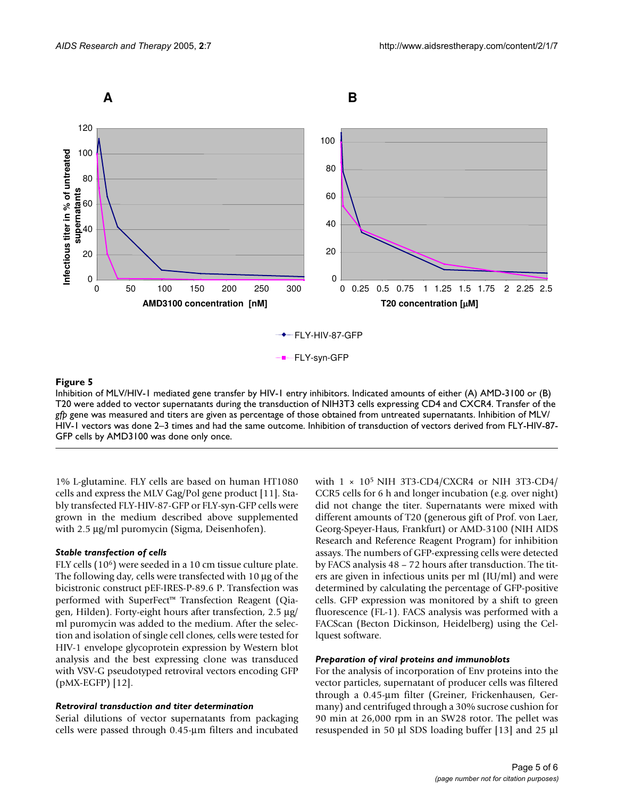

Inhibition of MLV/HIV-1 mediated gene transfer by HIV-1 entry inhibitors. Indicated amounts of either (A) AMD-3100 or (B) T20 were added to vector supernatants during the transduction of NIH3T3 cells expressing CD4 and CXCR4. Transfer of the *gfp* gene was measured and titers are given as percentage of those obtained from untreated supernatants. Inhibition of MLV/ HIV-1 vectors was done 2–3 times and had the same outcome. Inhibition of transduction of vectors derived from FLY-HIV-87- GFP cells by AMD3100 was done only once.

1% L-glutamine. FLY cells are based on human HT1080 cells and express the MLV Gag/Pol gene product [11]. Stably transfected FLY-HIV-87-GFP or FLY-syn-GFP cells were grown in the medium described above supplemented with 2.5 µg/ml puromycin (Sigma, Deisenhofen).

### *Stable transfection of cells*

FLY cells (106) were seeded in a 10 cm tissue culture plate. The following day, cells were transfected with 10 µg of the bicistronic construct pEF-IRES-P-89.6 P. Transfection was performed with SuperFect™ Transfection Reagent (Qiagen, Hilden). Forty-eight hours after transfection, 2.5 µg/ ml puromycin was added to the medium. After the selection and isolation of single cell clones, cells were tested for HIV-1 envelope glycoprotein expression by Western blot analysis and the best expressing clone was transduced with VSV-G pseudotyped retroviral vectors encoding GFP (pMX-EGFP) [12].

#### *Retroviral transduction and titer determination*

Serial dilutions of vector supernatants from packaging cells were passed through 0.45-µm filters and incubated with  $1 \times 10^5$  NIH 3T3-CD4/CXCR4 or NIH 3T3-CD4/ CCR5 cells for 6 h and longer incubation (e.g. over night) did not change the titer. Supernatants were mixed with different amounts of T20 (generous gift of Prof. von Laer, Georg-Speyer-Haus, Frankfurt) or AMD-3100 (NIH AIDS Research and Reference Reagent Program) for inhibition assays. The numbers of GFP-expressing cells were detected by FACS analysis 48 – 72 hours after transduction. The titers are given in infectious units per ml (IU/ml) and were determined by calculating the percentage of GFP-positive cells. GFP expression was monitored by a shift to green fluorescence (FL-1). FACS analysis was performed with a FACScan (Becton Dickinson, Heidelberg) using the Cellquest software.

#### *Preparation of viral proteins and immunoblots*

For the analysis of incorporation of Env proteins into the vector particles, supernatant of producer cells was filtered through a 0.45-µm filter (Greiner, Frickenhausen, Germany) and centrifuged through a 30% sucrose cushion for 90 min at 26,000 rpm in an SW28 rotor. The pellet was resuspended in 50 µl SDS loading buffer [13] and 25 µl